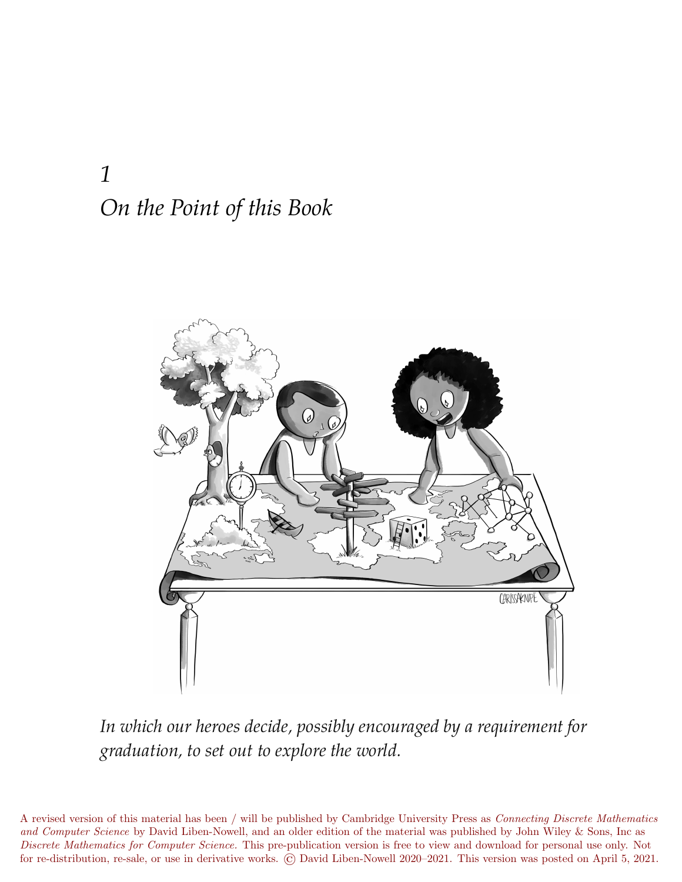## *1 On the Point of this Book*



*In which our heroes decide, possibly encouraged by a requirement for graduation, to set out to explore the world.*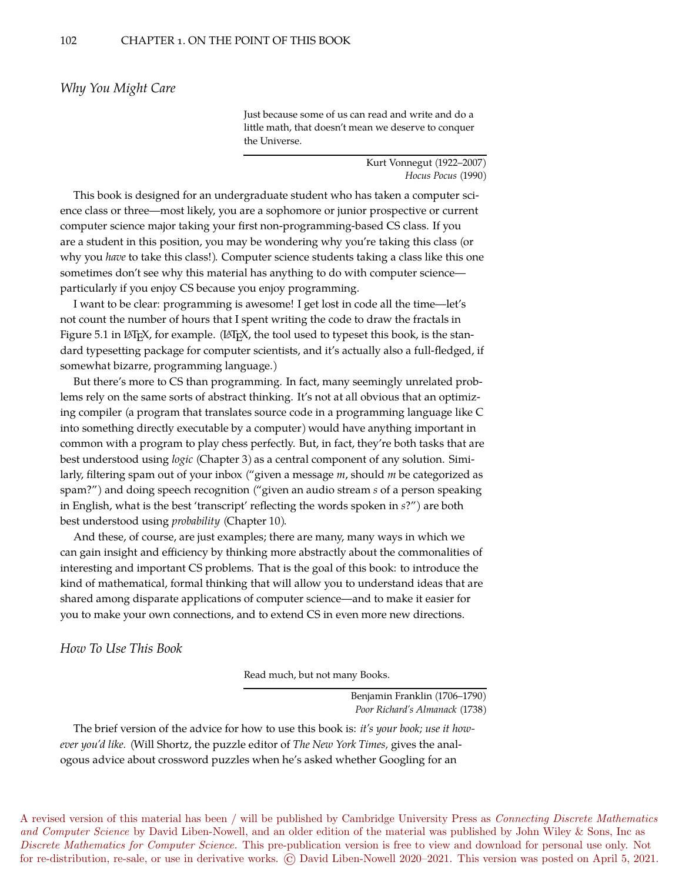*Why You Might Care*

Just because some of us can read and write and do a little math, that doesn't mean we deserve to conquer the Universe.

> Kurt Vonnegut (1922–2007) *Hocus Pocus* (1990)

This book is designed for an undergraduate student who has taken a computer science class or three—most likely, you are a sophomore or junior prospective or current computer science major taking your first non-programming-based CS class. If you are a student in this position, you may be wondering why you're taking this class (or why you *have* to take this class!). Computer science students taking a class like this one sometimes don't see why this material has anything to do with computer science particularly if you enjoy CS because you enjoy programming.

I want to be clear: programming is awesome! I get lost in code all the time—let's not count the number of hours that I spent writing the code to draw the fractals in Figure 5.1 in LAT<sub>E</sub>X, for example. (LAT<sub>E</sub>X, the tool used to typeset this book, is the standard typesetting package for computer scientists, and it's actually also a full-fledged, if somewhat bizarre, programming language.)

But there's more to CS than programming. In fact, many seemingly unrelated problems rely on the same sorts of abstract thinking. It's not at all obvious that an optimizing compiler (a program that translates source code in a programming language like C into something directly executable by a computer) would have anything important in common with a program to play chess perfectly. But, in fact, they're both tasks that are best understood using *logic* (Chapter 3) as a central component of any solution. Similarly, filtering spam out of your inbox ("given a message *m*, should *m* be categorized as spam?") and doing speech recognition ("given an audio stream *s* of a person speaking in English, what is the best 'transcript' reflecting the words spoken in *s*?") are both best understood using *probability* (Chapter 10).

And these, of course, are just examples; there are many, many ways in which we can gain insight and efficiency by thinking more abstractly about the commonalities of interesting and important CS problems. That is the goal of this book: to introduce the kind of mathematical, formal thinking that will allow you to understand ideas that are shared among disparate applications of computer science—and to make it easier for you to make your own connections, and to extend CS in even more new directions.

*How To Use This Book*

Read much, but not many Books.

Benjamin Franklin (1706–1790) *Poor Richard's Almanack* (1738)

The brief version of the advice for how to use this book is: *it's your book; use it however you'd like.* (Will Shortz, the puzzle editor of *The New York Times,* gives the analogous advice about crossword puzzles when he's asked whether Googling for an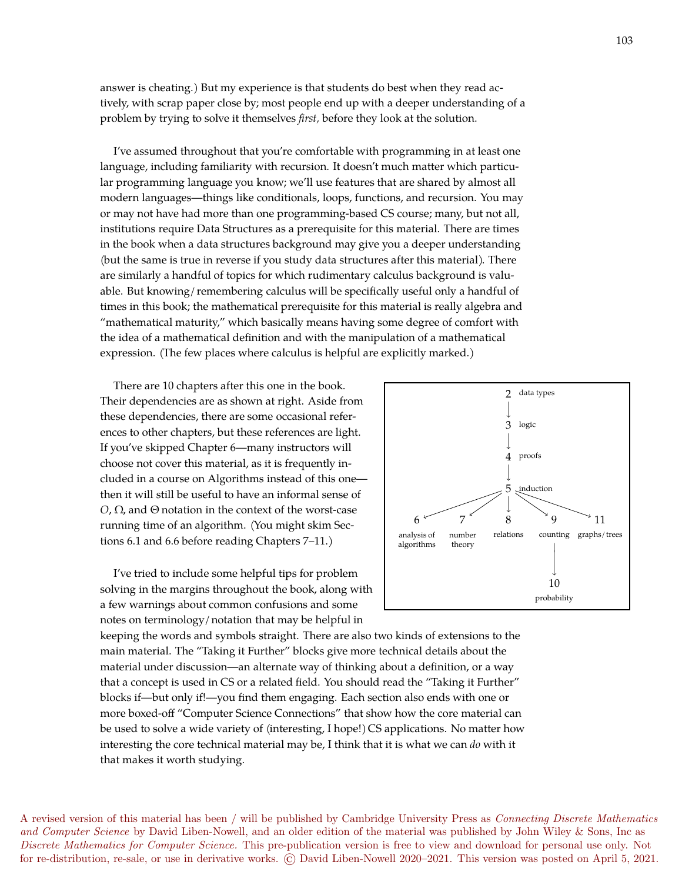answer is cheating.) But my experience is that students do best when they read actively, with scrap paper close by; most people end up with a deeper understanding of a problem by trying to solve it themselves *first,* before they look at the solution.

I've assumed throughout that you're comfortable with programming in at least one language, including familiarity with recursion. It doesn't much matter which particular programming language you know; we'll use features that are shared by almost all modern languages—things like conditionals, loops, functions, and recursion. You may or may not have had more than one programming-based CS course; many, but not all, institutions require Data Structures as a prerequisite for this material. There are times in the book when a data structures background may give you a deeper understanding (but the same is true in reverse if you study data structures after this material). There are similarly a handful of topics for which rudimentary calculus background is valuable. But knowing/remembering calculus will be specifically useful only a handful of times in this book; the mathematical prerequisite for this material is really algebra and "mathematical maturity," which basically means having some degree of comfort with the idea of a mathematical definition and with the manipulation of a mathematical expression. (The few places where calculus is helpful are explicitly marked.)

There are 10 chapters after this one in the book. Their dependencies are as shown at right. Aside from these dependencies, there are some occasional references to other chapters, but these references are light. If you've skipped Chapter 6—many instructors will choose not cover this material, as it is frequently included in a course on Algorithms instead of this one then it will still be useful to have an informal sense of *O*, Ω, and Θ notation in the context of the worst-case running time of an algorithm. (You might skim Sections 6.1 and 6.6 before reading Chapters 7–11.)

I've tried to include some helpful tips for problem solving in the margins throughout the book, along with a few warnings about common confusions and some notes on terminology/notation that may be helpful in



keeping the words and symbols straight. There are also two kinds of extensions to the main material. The "Taking it Further" blocks give more technical details about the material under discussion—an alternate way of thinking about a definition, or a way that a concept is used in CS or a related field. You should read the "Taking it Further" blocks if—but only if!—you find them engaging. Each section also ends with one or more boxed-off "Computer Science Connections" that show how the core material can be used to solve a wide variety of (interesting, I hope!) CS applications. No matter how interesting the core technical material may be, I think that it is what we can *do* with it that makes it worth studying.